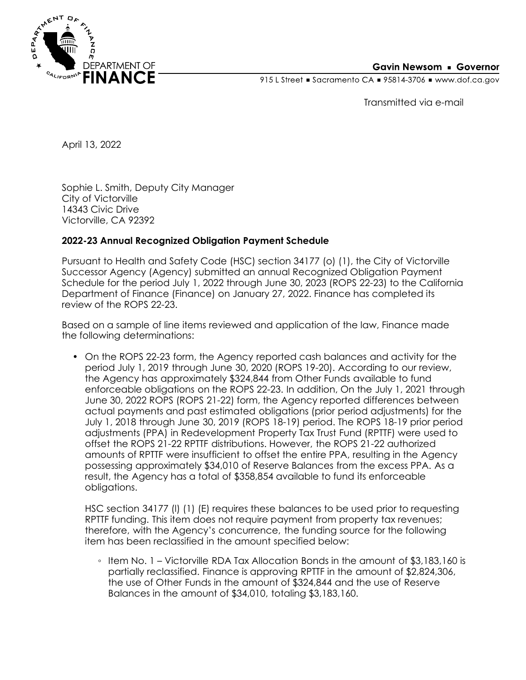

## **Gavin Newsom • Governor**

915 L Street Gacramento CA = 95814-3706 Www.dof.ca.gov

Transmitted via e-mail

April 13, 2022

Sophie L. Smith, Deputy City Manager City of Victorville 14343 Civic Drive Victorville, CA 92392

## **2022-23 Annual Recognized Obligation Payment Schedule**

Pursuant to Health and Safety Code (HSC) section 34177 (o) (1), the City of Victorville Successor Agency (Agency) submitted an annual Recognized Obligation Payment Schedule for the period July 1, 2022 through June 30, 2023 (ROPS 22-23) to the California Department of Finance (Finance) on January 27, 2022. Finance has completed its review of the ROPS 22-23.

Based on a sample of line items reviewed and application of the law, Finance made the following determinations:

• On the ROPS 22-23 form, the Agency reported cash balances and activity for the period July 1, 2019 through June 30, 2020 (ROPS 19-20). According to our review, the Agency has approximately \$324,844 from Other Funds available to fund enforceable obligations on the ROPS 22-23. In addition, On the July 1, 2021 through June 30, 2022 ROPS (ROPS 21-22) form, the Agency reported differences between actual payments and past estimated obligations (prior period adjustments) for the July 1, 2018 through June 30, 2019 (ROPS 18-19) period. The ROPS 18-19 prior period adjustments (PPA) in Redevelopment Property Tax Trust Fund (RPTTF) were used to offset the ROPS 21-22 RPTTF distributions. However, the ROPS 21-22 authorized amounts of RPTTF were insufficient to offset the entire PPA, resulting in the Agency possessing approximately \$34,010 of Reserve Balances from the excess PPA. As a result, the Agency has a total of \$358,854 available to fund its enforceable obligations.

HSC section 34177 (l) (1) (E) requires these balances to be used prior to requesting RPTTF funding. This item does not require payment from property tax revenues; therefore, with the Agency's concurrence, the funding source for the following item has been reclassified in the amount specified below:

◦ Item No. 1 – Victorville RDA Tax Allocation Bonds in the amount of \$3,183,160 is partially reclassified. Finance is approving RPTTF in the amount of \$2,824,306, the use of Other Funds in the amount of \$324,844 and the use of Reserve Balances in the amount of \$34,010, totaling \$3,183,160.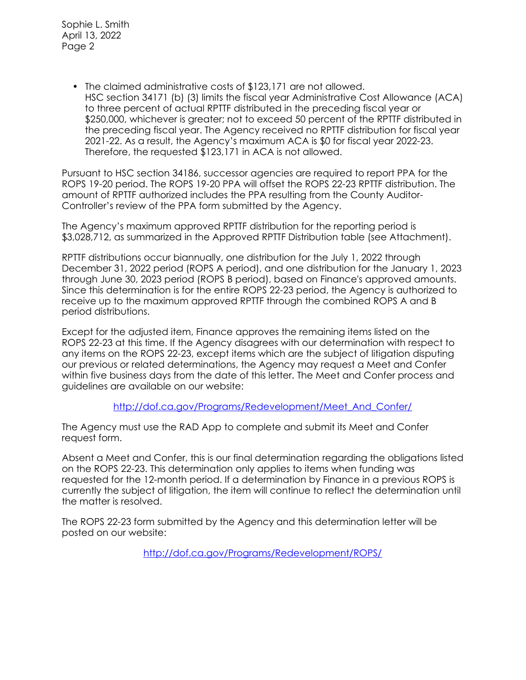Sophie L. Smith April 13, 2022 Page 2

> • The claimed administrative costs of \$123,171 are not allowed. HSC section 34171 (b) (3) limits the fiscal year Administrative Cost Allowance (ACA) to three percent of actual RPTTF distributed in the preceding fiscal year or \$250,000, whichever is greater; not to exceed 50 percent of the RPTTF distributed in the preceding fiscal year. The Agency received no RPTTF distribution for fiscal year 2021-22. As a result, the Agency's maximum ACA is \$0 for fiscal year 2022-23. Therefore, the requested \$123,171 in ACA is not allowed.

Pursuant to HSC section 34186, successor agencies are required to report PPA for the ROPS 19-20 period. The ROPS 19-20 PPA will offset the ROPS 22-23 RPTTF distribution. The amount of RPTTF authorized includes the PPA resulting from the County Auditor-Controller's review of the PPA form submitted by the Agency.

The Agency's maximum approved RPTTF distribution for the reporting period is \$3,028,712, as summarized in the Approved RPTTF Distribution table (see Attachment).

RPTTF distributions occur biannually, one distribution for the July 1, 2022 through December 31, 2022 period (ROPS A period), and one distribution for the January 1, 2023 through June 30, 2023 period (ROPS B period), based on Finance's approved amounts. Since this determination is for the entire ROPS 22-23 period, the Agency is authorized to receive up to the maximum approved RPTTF through the combined ROPS A and B period distributions.

Except for the adjusted item, Finance approves the remaining items listed on the ROPS 22-23 at this time. If the Agency disagrees with our determination with respect to any items on the ROPS 22-23, except items which are the subject of litigation disputing our previous or related determinations, the Agency may request a Meet and Confer within five business days from the date of this letter. The Meet and Confer process and guidelines are available on our website:

http://dof.ca.gov/Programs/Redevelopment/Meet And Confer/

The Agency must use the RAD App to complete and submit its Meet and Confer request form.

Absent a Meet and Confer, this is our final determination regarding the obligations listed on the ROPS 22-23. This determination only applies to items when funding was requested for the 12-month period. If a determination by Finance in a previous ROPS is currently the subject of litigation, the item will continue to reflect the determination until the matter is resolved.

The ROPS 22-23 form submitted by the Agency and this determination letter will be posted on our website:

<http://dof.ca.gov/Programs/Redevelopment/ROPS/>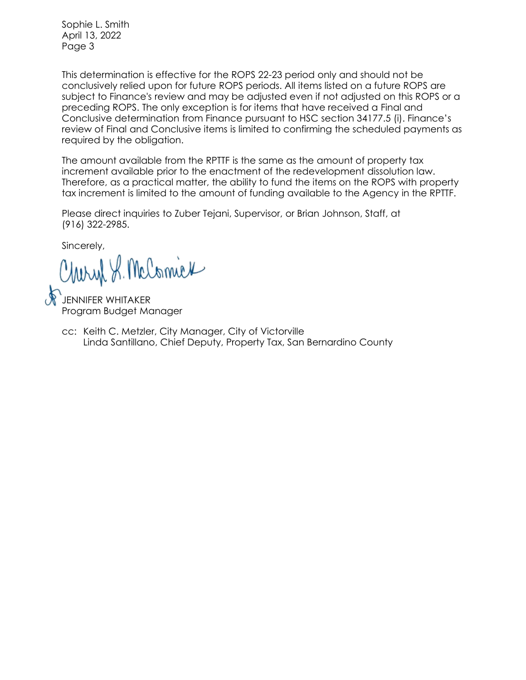Sophie L. Smith April 13, 2022 Page 3

This determination is effective for the ROPS 22-23 period only and should not be conclusively relied upon for future ROPS periods. All items listed on a future ROPS are subject to Finance's review and may be adjusted even if not adjusted on this ROPS or a preceding ROPS. The only exception is for items that have received a Final and Conclusive determination from Finance pursuant to HSC section 34177.5 (i). Finance's review of Final and Conclusive items is limited to confirming the scheduled payments as required by the obligation.

The amount available from the RPTTF is the same as the amount of property tax increment available prior to the enactment of the redevelopment dissolution law. Therefore, as a practical matter, the ability to fund the items on the ROPS with property tax increment is limited to the amount of funding available to the Agency in the RPTTF.

Please direct inquiries to Zuber Tejani, Supervisor, or Brian Johnson, Staff, at (916) 322-2985.

Sincerely,

Charyl S. McComick

JENNIFER WHITAKER Program Budget Manager

Linda Santillano, Chief Deputy, Property Tax, San Bernardino County cc: Keith C. Metzler, City Manager, City of Victorville